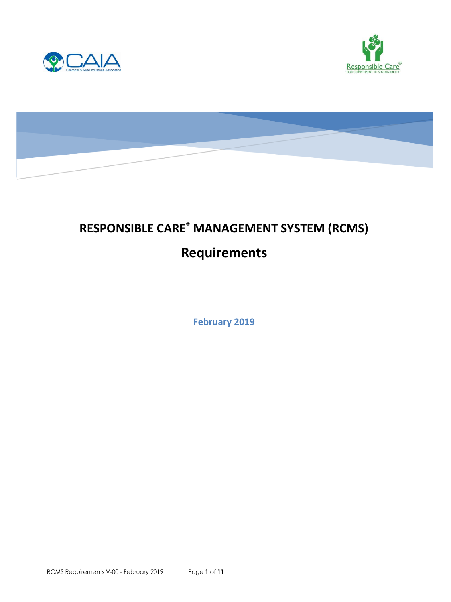





# **RESPONSIBLE CARE® MANAGEMENT SYSTEM (RCMS) Requirements**

**February 2019**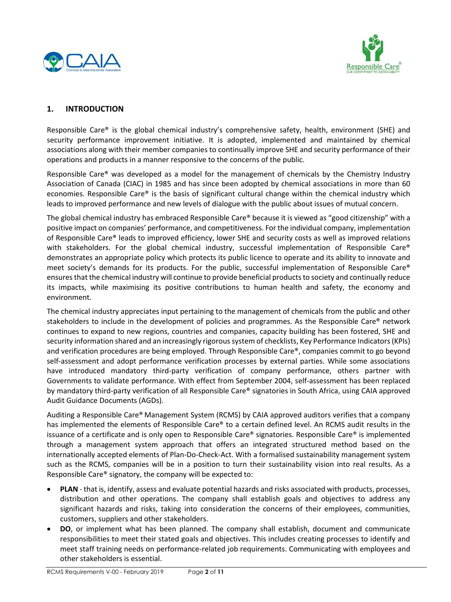



# **1. INTRODUCTION**

Responsible Care® is the global chemical industry's comprehensive safety, health, environment (SHE) and security performance improvement initiative. It is adopted, implemented and maintained by chemical associations along with their member companies to continually improve SHE and security performance of their operations and products in a manner responsive to the concerns of the public.

Responsible Care® was developed as a model for the management of chemicals by the Chemistry Industry Association of Canada (CIAC) in 1985 and has since been adopted by chemical associations in more than 60 economies. Responsible Care® is the basis of significant cultural change within the chemical industry which leads to improved performance and new levels of dialogue with the public about issues of mutual concern.

The global chemical industry has embraced Responsible Care® because it is viewed as "good citizenship" with a positive impact on companies' performance, and competitiveness. For the individual company, implementation of Responsible Care® leads to improved efficiency, lower SHE and security costs as well as improved relations with stakeholders. For the global chemical industry, successful implementation of Responsible Care® demonstrates an appropriate policy which protects its public licence to operate and its ability to innovate and meet society's demands for its products. For the public, successful implementation of Responsible Care® ensuresthat the chemical industry will continue to provide beneficial products to society and continually reduce its impacts, while maximising its positive contributions to human health and safety, the economy and environment.

The chemical industry appreciates input pertaining to the management of chemicals from the public and other stakeholders to include in the development of policies and programmes. As the Responsible Care® network continues to expand to new regions, countries and companies, capacity building has been fostered, SHE and security information shared and an increasingly rigorous system of checklists, Key Performance Indicators(KPIs) and verification procedures are being employed. Through Responsible Care®, companies commit to go beyond self-assessment and adopt performance verification processes by external parties. While some associations have introduced mandatory third-party verification of company performance, others partner with Governments to validate performance. With effect from September 2004, self-assessment has been replaced by mandatory third-party verification of all Responsible Care® signatories in South Africa, using CAIA approved Audit Guidance Documents (AGDs).

Auditing a Responsible Care® Management System (RCMS) by CAIA approved auditors verifies that a company has implemented the elements of Responsible Care® to a certain defined level. An RCMS audit results in the issuance of a certificate and is only open to Responsible Care® signatories. Responsible Care® is implemented through a management system approach that offers an integrated structured method based on the internationally accepted elements of Plan-Do-Check-Act. With a formalised sustainability management system such as the RCMS, companies will be in a position to turn their sustainability vision into real results. As a Responsible Care® signatory, the company will be expected to:

- **PLAN** that is, identify, assess and evaluate potential hazards and risks associated with products, processes, distribution and other operations. The company shall establish goals and objectives to address any significant hazards and risks, taking into consideration the concerns of their employees, communities, customers, suppliers and other stakeholders.
- **DO**, or implement what has been planned. The company shall establish, document and communicate responsibilities to meet their stated goals and objectives. This includes creating processes to identify and meet staff training needs on performance-related job requirements. Communicating with employees and other stakeholders is essential.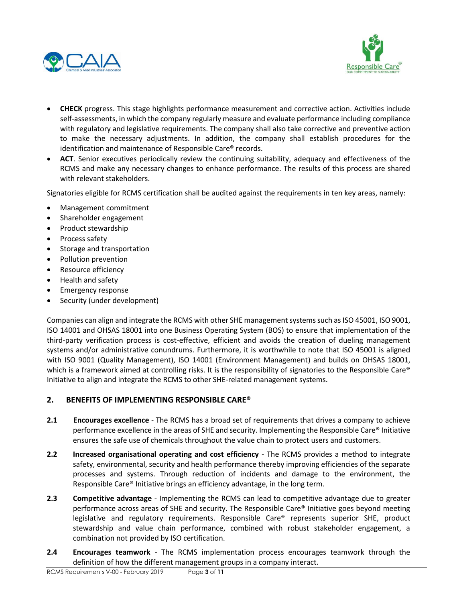



- **CHECK** progress. This stage highlights performance measurement and corrective action. Activities include self-assessments, in which the company regularly measure and evaluate performance including compliance with regulatory and legislative requirements. The company shall also take corrective and preventive action to make the necessary adjustments. In addition, the company shall establish procedures for the identification and maintenance of Responsible Care® records.
- **ACT**. Senior executives periodically review the continuing suitability, adequacy and effectiveness of the RCMS and make any necessary changes to enhance performance. The results of this process are shared with relevant stakeholders.

Signatories eligible for RCMS certification shall be audited against the requirements in ten key areas, namely:

- Management commitment
- Shareholder engagement
- Product stewardship
- Process safety
- Storage and transportation
- Pollution prevention
- Resource efficiency
- Health and safety
- Emergency response
- Security (under development)

Companies can align and integrate the RCMS with other SHE management systems such as ISO 45001, ISO 9001, ISO 14001 and OHSAS 18001 into one Business Operating System (BOS) to ensure that implementation of the third-party verification process is cost-effective, efficient and avoids the creation of dueling management systems and/or administrative conundrums. Furthermore, it is worthwhile to note that ISO 45001 is aligned with ISO 9001 (Quality Management), ISO 14001 (Environment Management) and builds on OHSAS 18001, which is a framework aimed at controlling risks. It is the responsibility of signatories to the Responsible Care® Initiative to align and integrate the RCMS to other SHE-related management systems.

#### **2. BENEFITS OF IMPLEMENTING RESPONSIBLE CARE®**

- **2.1 Encourages excellence** The RCMS has a broad set of requirements that drives a company to achieve performance excellence in the areas of SHE and security. Implementing the Responsible Care® Initiative ensures the safe use of chemicals throughout the value chain to protect users and customers.
- **2.2 Increased organisational operating and cost efficiency** The RCMS provides a method to integrate safety, environmental, security and health performance thereby improving efficiencies of the separate processes and systems. Through reduction of incidents and damage to the environment, the Responsible Care® Initiative brings an efficiency advantage, in the long term.
- **2.3 Competitive advantage** Implementing the RCMS can lead to competitive advantage due to greater performance across areas of SHE and security. The Responsible Care® Initiative goes beyond meeting legislative and regulatory requirements. Responsible Care® represents superior SHE, product stewardship and value chain performance, combined with robust stakeholder engagement, a combination not provided by ISO certification.
- **2.4 Encourages teamwork** The RCMS implementation process encourages teamwork through the definition of how the different management groups in a company interact.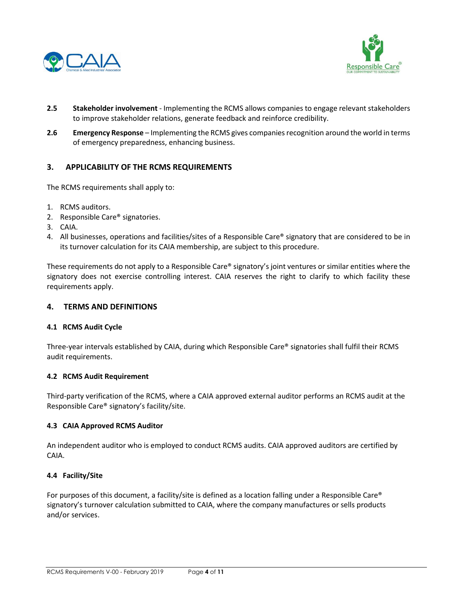



- **2.5 Stakeholder involvement** Implementing the RCMS allows companies to engage relevant stakeholders to improve stakeholder relations, generate feedback and reinforce credibility.
- **2.6 Emergency Response** Implementing the RCMS gives companies recognition around the world in terms of emergency preparedness, enhancing business.

## **3. APPLICABILITY OF THE RCMS REQUIREMENTS**

The RCMS requirements shall apply to:

- 1. RCMS auditors.
- 2. Responsible Care® signatories.
- 3. CAIA.
- 4. All businesses, operations and facilities/sites of a Responsible Care® signatory that are considered to be in its turnover calculation for its CAIA membership, are subject to this procedure.

These requirements do not apply to a Responsible Care® signatory's joint ventures or similar entities where the signatory does not exercise controlling interest. CAIA reserves the right to clarify to which facility these requirements apply.

#### **4. TERMS AND DEFINITIONS**

#### **4.1 RCMS Audit Cycle**

Three-year intervals established by CAIA, during which Responsible Care® signatories shall fulfil their RCMS audit requirements.

#### **4.2 RCMS Audit Requirement**

Third-party verification of the RCMS, where a CAIA approved external auditor performs an RCMS audit at the Responsible Care® signatory's facility/site.

#### **4.3 CAIA Approved RCMS Auditor**

An independent auditor who is employed to conduct RCMS audits. CAIA approved auditors are certified by CAIA.

#### **4.4 Facility/Site**

For purposes of this document, a facility/site is defined as a location falling under a Responsible Care® signatory's turnover calculation submitted to CAIA, where the company manufactures or sells products and/or services.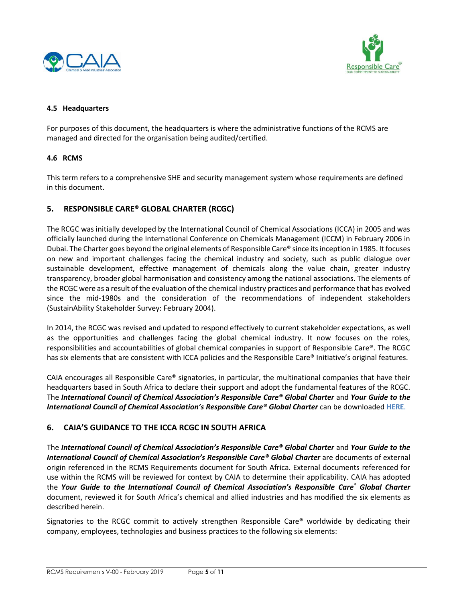



#### **4.5 Headquarters**

For purposes of this document, the headquarters is where the administrative functions of the RCMS are managed and directed for the organisation being audited/certified.

## **4.6 RCMS**

This term refers to a comprehensive SHE and security management system whose requirements are defined in this document.

# **5. RESPONSIBLE CARE® GLOBAL CHARTER (RCGC)**

The RCGC was initially developed by the International Council of Chemical Associations (ICCA) in 2005 and was officially launched during the International Conference on Chemicals Management (ICCM) in February 2006 in Dubai. The Charter goes beyond the original elements of Responsible Care® since its inception in 1985. It focuses on new and important challenges facing the chemical industry and society, such as public dialogue over sustainable development, effective management of chemicals along the value chain, greater industry transparency, broader global harmonisation and consistency among the national associations. The elements of the RCGC were as a result of the evaluation of the chemical industry practices and performance that has evolved since the mid-1980s and the consideration of the recommendations of independent stakeholders (SustainAbility Stakeholder Survey: February 2004).

In 2014, the RCGC was revised and updated to respond effectively to current stakeholder expectations, as well as the opportunities and challenges facing the global chemical industry. It now focuses on the roles, responsibilities and accountabilities of global chemical companies in support of Responsible Care®. The RCGC has six elements that are consistent with ICCA policies and the Responsible Care® Initiative's original features.

CAIA encourages all Responsible Care® signatories, in particular, the multinational companies that have their headquarters based in South Africa to declare their support and adopt the fundamental features of the RCGC. The *International Council of Chemical Association's Responsible Care® Global Charter* and *Your Guide to the International Council of Chemical Association's Responsible Care® Global Charter* can be downloaded **HERE**.

## **6. CAIA'S GUIDANCE TO THE ICCA RCGC IN SOUTH AFRICA**

The *International Council of Chemical Association's Responsible Care® Global Charter* and *Your Guide to the International Council of Chemical Association's Responsible Care® Global Charter* are documents of external origin referenced in the RCMS Requirements document for South Africa. External documents referenced for use within the RCMS will be reviewed for context by CAIA to determine their applicability. CAIA has adopted the *Your Guide to the International Council of Chemical Association's Responsible Care® Global Charter* document, reviewed it for South Africa's chemical and allied industries and has modified the six elements as described herein.

Signatories to the RCGC commit to actively strengthen Responsible Care® worldwide by dedicating their company, employees, technologies and business practices to the following six elements: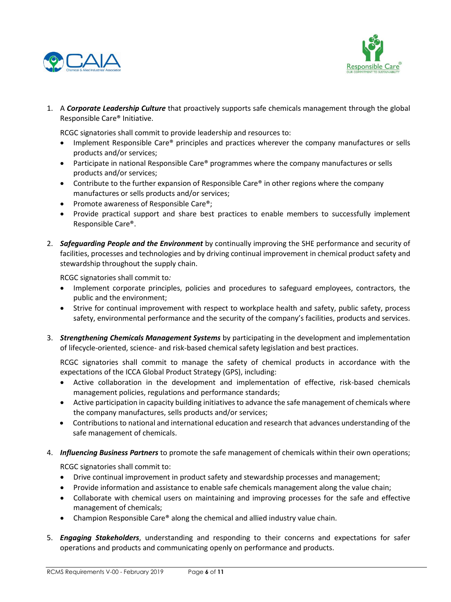



1. A *Corporate Leadership Culture* that proactively supports safe chemicals management through the global Responsible Care® Initiative.

RCGC signatories shall commit to provide leadership and resources to:

- Implement Responsible Care® principles and practices wherever the company manufactures or sells products and/or services;
- Participate in national Responsible Care® programmes where the company manufactures or sells products and/or services;
- Contribute to the further expansion of Responsible Care® in other regions where the company manufactures or sells products and/or services;
- Promote awareness of Responsible Care®;
- Provide practical support and share best practices to enable members to successfully implement Responsible Care®.
- 2. *Safeguarding People and the Environment* by continually improving the SHE performance and security of facilities, processes and technologies and by driving continual improvement in chemical product safety and stewardship throughout the supply chain.

RCGC signatories shall commit to*:* 

- Implement corporate principles, policies and procedures to safeguard employees, contractors, the public and the environment;
- Strive for continual improvement with respect to workplace health and safety, public safety, process safety, environmental performance and the security of the company's facilities, products and services.
- 3. *Strengthening Chemicals Management Systems* by participating in the development and implementation of lifecycle-oriented, science- and risk-based chemical safety legislation and best practices.

RCGC signatories shall commit to manage the safety of chemical products in accordance with the expectations of the ICCA Global Product Strategy (GPS), including:

- Active collaboration in the development and implementation of effective, risk-based chemicals management policies, regulations and performance standards;
- Active participation in capacity building initiatives to advance the safe management of chemicals where the company manufactures, sells products and/or services;
- Contributions to national and international education and research that advances understanding of the safe management of chemicals.
- 4. *Influencing Business Partners* to promote the safe management of chemicals within their own operations;

RCGC signatories shall commit to:

- Drive continual improvement in product safety and stewardship processes and management;
- Provide information and assistance to enable safe chemicals management along the value chain;
- Collaborate with chemical users on maintaining and improving processes for the safe and effective management of chemicals;
- Champion Responsible Care® along the chemical and allied industry value chain.
- 5. *Engaging Stakeholders*, understanding and responding to their concerns and expectations for safer operations and products and communicating openly on performance and products.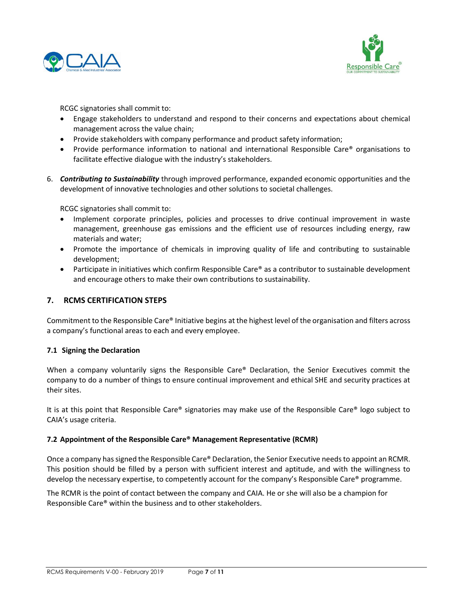



RCGC signatories shall commit to:

- Engage stakeholders to understand and respond to their concerns and expectations about chemical management across the value chain;
- Provide stakeholders with company performance and product safety information;
- Provide performance information to national and international Responsible Care<sup>®</sup> organisations to facilitate effective dialogue with the industry's stakeholders.
- 6. *Contributing to Sustainability* through improved performance, expanded economic opportunities and the development of innovative technologies and other solutions to societal challenges.

RCGC signatories shall commit to:

- Implement corporate principles, policies and processes to drive continual improvement in waste management, greenhouse gas emissions and the efficient use of resources including energy, raw materials and water;
- Promote the importance of chemicals in improving quality of life and contributing to sustainable development;
- Participate in initiatives which confirm Responsible Care® as a contributor to sustainable development and encourage others to make their own contributions to sustainability.

## **7. RCMS CERTIFICATION STEPS**

Commitment to the Responsible Care® Initiative begins at the highest level of the organisation and filters across a company's functional areas to each and every employee.

#### **7.1 Signing the Declaration**

When a company voluntarily signs the Responsible Care® Declaration, the Senior Executives commit the company to do a number of things to ensure continual improvement and ethical SHE and security practices at their sites.

It is at this point that Responsible Care® signatories may make use of the Responsible Care® logo subject to CAIA's usage criteria.

#### **7.2 Appointment of the Responsible Care® Management Representative (RCMR)**

Once a company hassigned the Responsible Care® Declaration, the Senior Executive needsto appoint an RCMR. This position should be filled by a person with sufficient interest and aptitude, and with the willingness to develop the necessary expertise, to competently account for the company's Responsible Care® programme.

The RCMR is the point of contact between the company and CAIA. He or she will also be a champion for Responsible Care® within the business and to other stakeholders.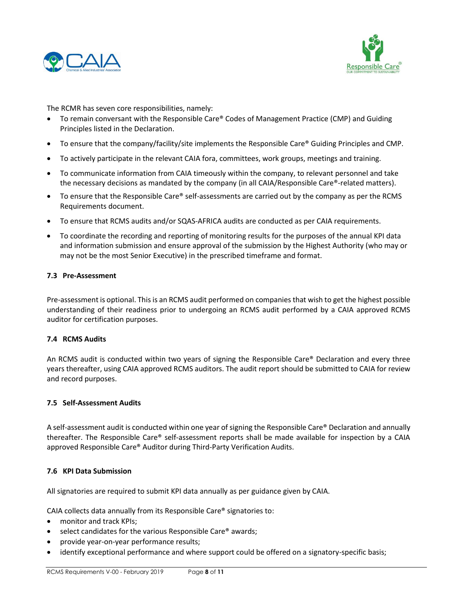



The RCMR has seven core responsibilities, namely:

- To remain conversant with the Responsible Care® Codes of Management Practice (CMP) and Guiding Principles listed in the Declaration.
- To ensure that the company/facility/site implements the Responsible Care® Guiding Principles and CMP.
- To actively participate in the relevant CAIA fora, committees, work groups, meetings and training.
- To communicate information from CAIA timeously within the company, to relevant personnel and take the necessary decisions as mandated by the company (in all CAIA/Responsible Care®-related matters).
- To ensure that the Responsible Care® self-assessments are carried out by the company as per the RCMS Requirements document.
- To ensure that RCMS audits and/or SQAS-AFRICA audits are conducted as per CAIA requirements.
- To coordinate the recording and reporting of monitoring results for the purposes of the annual KPI data and information submission and ensure approval of the submission by the Highest Authority (who may or may not be the most Senior Executive) in the prescribed timeframe and format.

#### **7.3 Pre-Assessment**

Pre-assessment is optional. This is an RCMS audit performed on companies that wish to get the highest possible understanding of their readiness prior to undergoing an RCMS audit performed by a CAIA approved RCMS auditor for certification purposes.

#### **7.4 RCMS Audits**

An RCMS audit is conducted within two years of signing the Responsible Care® Declaration and every three years thereafter, using CAIA approved RCMS auditors. The audit report should be submitted to CAIA for review and record purposes.

#### **7.5 Self-Assessment Audits**

A self-assessment audit is conducted within one year of signing the Responsible Care® Declaration and annually thereafter. The Responsible Care® self-assessment reports shall be made available for inspection by a CAIA approved Responsible Care® Auditor during Third-Party Verification Audits.

#### **7.6 KPI Data Submission**

All signatories are required to submit KPI data annually as per guidance given by CAIA.

CAIA collects data annually from its Responsible Care® signatories to:

- monitor and track KPIs;
- select candidates for the various Responsible Care® awards;
- provide year-on-year performance results;
- identify exceptional performance and where support could be offered on a signatory-specific basis;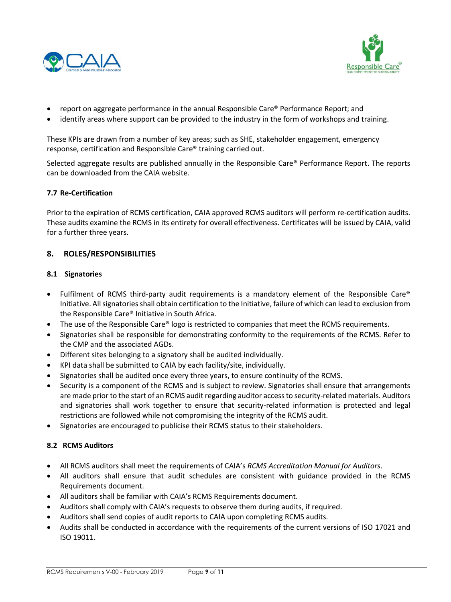



- report on aggregate performance in the annual Responsible Care® Performance Report; and
- identify areas where support can be provided to the industry in the form of workshops and training.

These KPIs are drawn from a number of key areas; such as SHE, stakeholder engagement, emergency response, certification and Responsible Care® training carried out.

Selected aggregate results are published annually in the Responsible Care® Performance Report. The reports can be downloaded from the CAIA website.

#### **7.7 Re-Certification**

Prior to the expiration of RCMS certification, CAIA approved RCMS auditors will perform re-certification audits. These audits examine the RCMS in its entirety for overall effectiveness. Certificates will be issued by CAIA, valid for a further three years.

#### **8. ROLES/RESPONSIBILITIES**

#### **8.1 Signatories**

- Fulfilment of RCMS third-party audit requirements is a mandatory element of the Responsible Care® Initiative. All signatories shall obtain certification to the Initiative, failure of which can lead to exclusion from the Responsible Care® Initiative in South Africa.
- The use of the Responsible Care® logo is restricted to companies that meet the RCMS requirements.
- Signatories shall be responsible for demonstrating conformity to the requirements of the RCMS. Refer to the CMP and the associated AGDs.
- Different sites belonging to a signatory shall be audited individually.
- KPI data shall be submitted to CAIA by each facility/site, individually.
- Signatories shall be audited once every three years, to ensure continuity of the RCMS.
- Security is a component of the RCMS and is subject to review. Signatories shall ensure that arrangements are made prior to the start of an RCMS audit regarding auditor access to security-related materials. Auditors and signatories shall work together to ensure that security-related information is protected and legal restrictions are followed while not compromising the integrity of the RCMS audit.
- Signatories are encouraged to publicise their RCMS status to their stakeholders.

#### **8.2 RCMS Auditors**

- All RCMS auditors shall meet the requirements of CAIA's *RCMS Accreditation Manual for Auditors*.
- All auditors shall ensure that audit schedules are consistent with guidance provided in the RCMS Requirements document.
- All auditors shall be familiar with CAIA's RCMS Requirements document.
- Auditors shall comply with CAIA's requests to observe them during audits, if required.
- Auditors shall send copies of audit reports to CAIA upon completing RCMS audits.
- Audits shall be conducted in accordance with the requirements of the current versions of ISO 17021 and ISO 19011.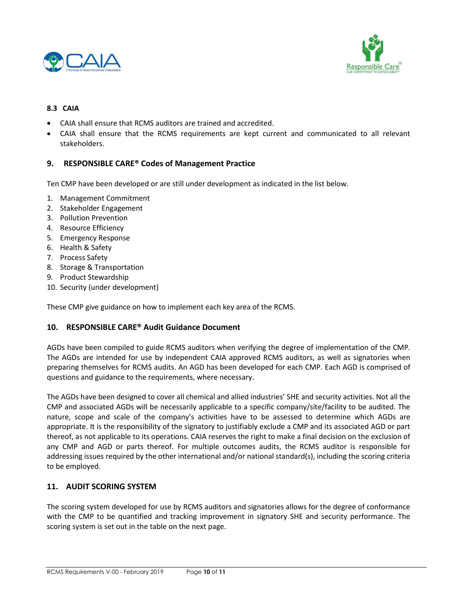



#### **8.3 CAIA**

- CAIA shall ensure that RCMS auditors are trained and accredited.
- CAIA shall ensure that the RCMS requirements are kept current and communicated to all relevant stakeholders.

## **9. RESPONSIBLE CARE® Codes of Management Practice**

Ten CMP have been developed or are still under development as indicated in the list below.

- 1. Management Commitment
- 2. Stakeholder Engagement
- 3. Pollution Prevention
- 4. Resource Efficiency
- 5. Emergency Response
- 6. Health & Safety
- 7. Process Safety
- 8. Storage & Transportation
- 9. Product Stewardship
- 10. Security (under development)

These CMP give guidance on how to implement each key area of the RCMS.

#### **10. RESPONSIBLE CARE® Audit Guidance Document**

AGDs have been compiled to guide RCMS auditors when verifying the degree of implementation of the CMP. The AGDs are intended for use by independent CAIA approved RCMS auditors, as well as signatories when preparing themselves for RCMS audits. An AGD has been developed for each CMP. Each AGD is comprised of questions and guidance to the requirements, where necessary.

The AGDs have been designed to cover all chemical and allied industries' SHE and security activities. Not all the CMP and associated AGDs will be necessarily applicable to a specific company/site/facility to be audited. The nature, scope and scale of the company's activities have to be assessed to determine which AGDs are appropriate. It is the responsibility of the signatory to justifiably exclude a CMP and its associated AGD or part thereof, as not applicable to its operations. CAIA reserves the right to make a final decision on the exclusion of any CMP and AGD or parts thereof. For multiple outcomes audits, the RCMS auditor is responsible for addressing issues required by the other international and/or national standard(s), including the scoring criteria to be employed.

#### **11. AUDIT SCORING SYSTEM**

The scoring system developed for use by RCMS auditors and signatories allows for the degree of conformance with the CMP to be quantified and tracking improvement in signatory SHE and security performance. The scoring system is set out in the table on the next page.